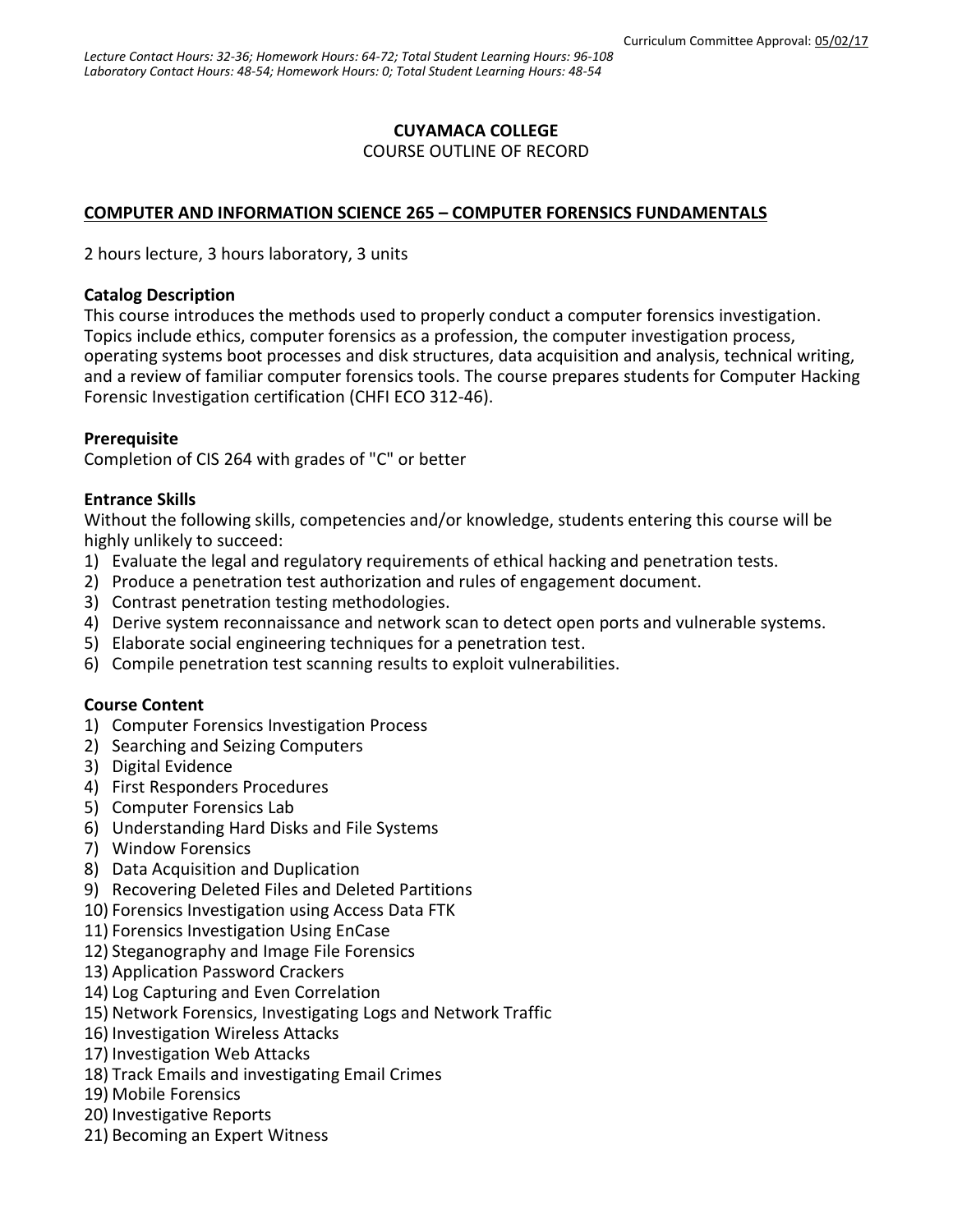## **CUYAMACA COLLEGE**

### COURSE OUTLINE OF RECORD

## **COMPUTER AND INFORMATION SCIENCE 265 – COMPUTER FORENSICS FUNDAMENTALS**

2 hours lecture, 3 hours laboratory, 3 units

### **Catalog Description**

This course introduces the methods used to properly conduct a computer forensics investigation. Topics include ethics, computer forensics as a profession, the computer investigation process, operating systems boot processes and disk structures, data acquisition and analysis, technical writing, and a review of familiar computer forensics tools. The course prepares students for Computer Hacking Forensic Investigation certification (CHFI ECO 312-46).

### **Prerequisite**

Completion of CIS 264 with grades of "C" or better

### **Entrance Skills**

Without the following skills, competencies and/or knowledge, students entering this course will be highly unlikely to succeed:

- 1) Evaluate the legal and regulatory requirements of ethical hacking and penetration tests.
- 2) Produce a penetration test authorization and rules of engagement document.
- 3) Contrast penetration testing methodologies.
- 4) Derive system reconnaissance and network scan to detect open ports and vulnerable systems.
- 5) Elaborate social engineering techniques for a penetration test.
- 6) Compile penetration test scanning results to exploit vulnerabilities.

## **Course Content**

- 1) Computer Forensics Investigation Process
- 2) Searching and Seizing Computers
- 3) Digital Evidence
- 4) First Responders Procedures
- 5) Computer Forensics Lab
- 6) Understanding Hard Disks and File Systems
- 7) Window Forensics
- 8) Data Acquisition and Duplication
- 9) Recovering Deleted Files and Deleted Partitions
- 10) Forensics Investigation using Access Data FTK
- 11) Forensics Investigation Using EnCase
- 12) Steganography and Image File Forensics
- 13) Application Password Crackers
- 14) Log Capturing and Even Correlation
- 15) Network Forensics, Investigating Logs and Network Traffic
- 16) Investigation Wireless Attacks
- 17) Investigation Web Attacks
- 18) Track Emails and investigating Email Crimes
- 19) Mobile Forensics
- 20) Investigative Reports
- 21) Becoming an Expert Witness